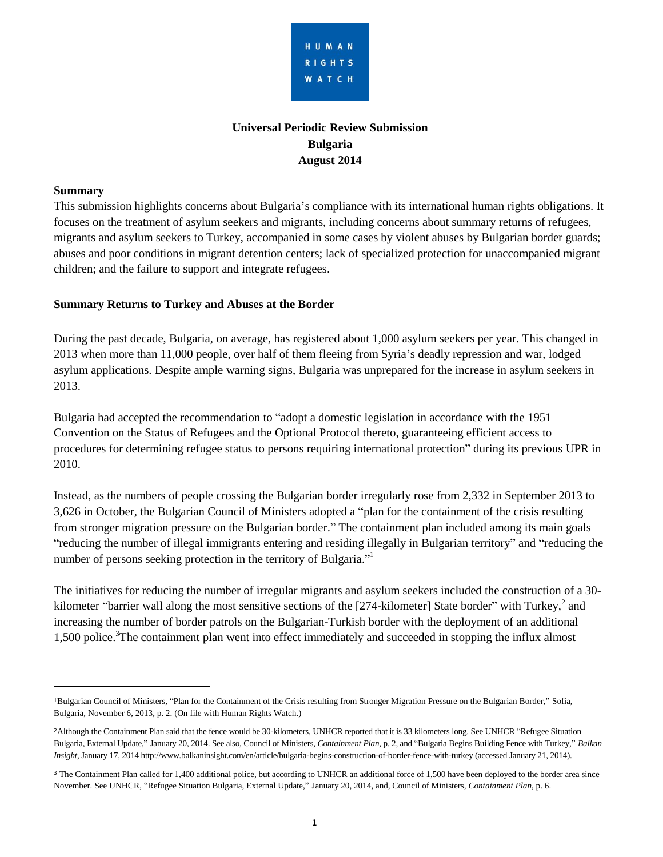

# **Universal Periodic Review Submission Bulgaria August 2014**

#### **Summary**

 $\overline{a}$ 

This submission highlights concerns about Bulgaria's compliance with its international human rights obligations. It focuses on the treatment of asylum seekers and migrants, including concerns about summary returns of refugees, migrants and asylum seekers to Turkey, accompanied in some cases by violent abuses by Bulgarian border guards; abuses and poor conditions in migrant detention centers; lack of specialized protection for unaccompanied migrant children; and the failure to support and integrate refugees.

## **Summary Returns to Turkey and Abuses at the Border**

During the past decade, Bulgaria, on average, has registered about 1,000 asylum seekers per year. This changed in 2013 when more than 11,000 people, over half of them fleeing from Syria's deadly repression and war, lodged asylum applications. Despite ample warning signs, Bulgaria was unprepared for the increase in asylum seekers in 2013.

Bulgaria had accepted the recommendation to "adopt a domestic legislation in accordance with the 1951 Convention on the Status of Refugees and the Optional Protocol thereto, guaranteeing efficient access to procedures for determining refugee status to persons requiring international protection" during its previous UPR in 2010.

Instead, as the numbers of people crossing the Bulgarian border irregularly rose from 2,332 in September 2013 to 3,626 in October, the Bulgarian Council of Ministers adopted a "plan for the containment of the crisis resulting from stronger migration pressure on the Bulgarian border." The containment plan included among its main goals "reducing the number of illegal immigrants entering and residing illegally in Bulgarian territory" and "reducing the number of persons seeking protection in the territory of Bulgaria."<sup>1</sup>

The initiatives for reducing the number of irregular migrants and asylum seekers included the construction of a 30 kilometer "barrier wall along the most sensitive sections of the [274-kilometer] State border" with Turkey,  $2$  and increasing the number of border patrols on the Bulgarian-Turkish border with the deployment of an additional 1,500 police.<sup>3</sup>The containment plan went into effect immediately and succeeded in stopping the influx almost

<sup>1</sup>Bulgarian Council of Ministers, "Plan for the Containment of the Crisis resulting from Stronger Migration Pressure on the Bulgarian Border," Sofia, Bulgaria, November 6, 2013, p. 2. (On file with Human Rights Watch.)

<sup>&</sup>lt;sup>2</sup>Although the Containment Plan said that the fence would be 30-kilometers, UNHCR reported that it is 33 kilometers long. See UNHCR "Refugee Situation Bulgaria, External Update," January 20, 2014. See also, Council of Ministers, *Containment Plan*, p. 2, and "Bulgaria Begins Building Fence with Turkey," *Balkan Insight*, January 17, 2014 http://www.balkaninsight.com/en/article/bulgaria-begins-construction-of-border-fence-with-turkey (accessed January 21, 2014).

<sup>&</sup>lt;sup>3</sup> The Containment Plan called for 1,400 additional police, but according to UNHCR an additional force of 1,500 have been deployed to the border area since November. See UNHCR, "Refugee Situation Bulgaria, External Update," January 20, 2014, and, Council of Ministers, *Containment Plan*, p. 6.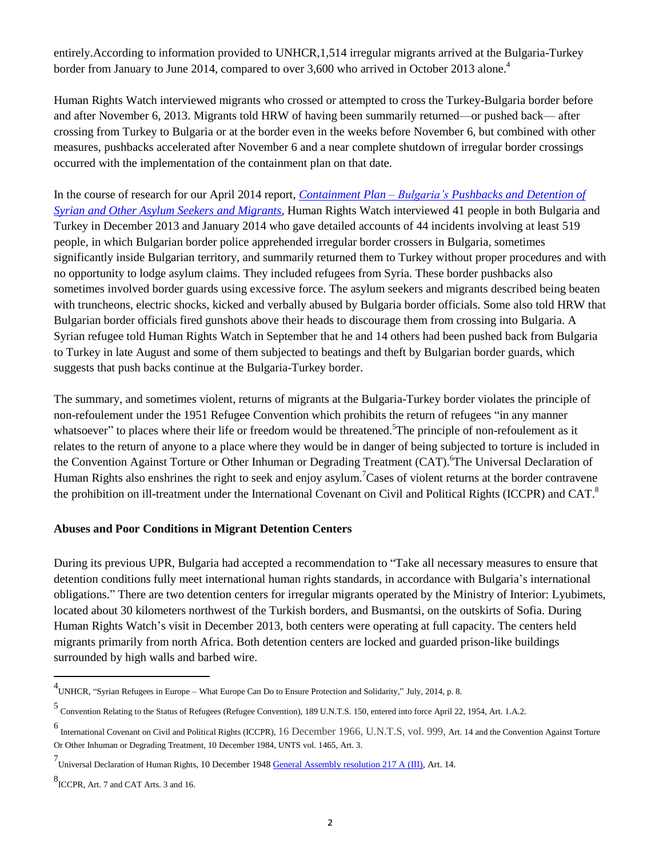entirely.According to information provided to UNHCR,1,514 irregular migrants arrived at the Bulgaria-Turkey border from January to June 2014, compared to over 3,600 who arrived in October 2013 alone.<sup>4</sup>

Human Rights Watch interviewed migrants who crossed or attempted to cross the Turkey-Bulgaria border before and after November 6, 2013. Migrants told HRW of having been summarily returned—or pushed back— after crossing from Turkey to Bulgaria or at the border even in the weeks before November 6, but combined with other measures, pushbacks accelerated after November 6 and a near complete shutdown of irregular border crossings occurred with the implementation of the containment plan on that date.

In the course of research for our April 2014 report, *[Containment](http://www.hrw.org/news/2014/04/29/bulgaria-asylum-seekers-summarily-expelled) Plan – Bulgaria's Pushbacks and Detention of Syrian and Other Asylum Seekers and [Migrants](http://www.hrw.org/news/2014/04/29/bulgaria-asylum-seekers-summarily-expelled)*, Human Rights Watch interviewed 41 people in both Bulgaria and Turkey in December 2013 and January 2014 who gave detailed accounts of 44 incidents involving at least 519 people, in which Bulgarian border police apprehended irregular border crossers in Bulgaria, sometimes significantly inside Bulgarian territory, and summarily returned them to Turkey without proper procedures and with no opportunity to lodge asylum claims. They included refugees from Syria. These border pushbacks also sometimes involved border guards using excessive force. The asylum seekers and migrants described being beaten with truncheons, electric shocks, kicked and verbally abused by Bulgaria border officials. Some also told HRW that Bulgarian border officials fired gunshots above their heads to discourage them from crossing into Bulgaria. A Syrian refugee told Human Rights Watch in September that he and 14 others had been pushed back from Bulgaria to Turkey in late August and some of them subjected to beatings and theft by Bulgarian border guards, which suggests that push backs continue at the Bulgaria-Turkey border.

The summary, and sometimes violent, returns of migrants at the Bulgaria-Turkey border violates the principle of non-refoulement under the 1951 Refugee Convention which prohibits the return of refugees "in any manner whatsoever" to places where their life or freedom would be threatened.<sup>5</sup>The principle of non-refoulement as it relates to the return of anyone to a place where they would be in danger of being subjected to torture is included in the Convention Against Torture or Other Inhuman or Degrading Treatment (CAT). The Universal Declaration of Human Rights also enshrines the right to seek and enjoy asylum.<sup>7</sup>Cases of violent returns at the border contravene the prohibition on ill-treatment under the International Covenant on Civil and Political Rights (ICCPR) and CAT.<sup>8</sup>

#### **Abuses and Poor Conditions in Migrant Detention Centers**

During its previous UPR, Bulgaria had accepted a recommendation to "Take all necessary measures to ensure that detention conditions fully meet international human rights standards, in accordance with Bulgaria's international obligations." There are two detention centers for irregular migrants operated by the Ministry of Interior: Lyubimets, located about 30 kilometers northwest of the Turkish borders, and Busmantsi, on the outskirts of Sofia. During Human Rights Watch's visit in December 2013, both centers were operating at full capacity. The centers held migrants primarily from north Africa. Both detention centers are locked and guarded prison-like buildings surrounded by high walls and barbed wire.

 4 UNHCR, "Syrian Refugees in Europe – What Europe Can Do to Ensure Protection and Solidarity," July, 2014, p. 8.

<sup>5</sup> Convention Relating to the Status of Refugees (Refugee Convention), 189 U.N.T.S. 150, entered into force April 22, 1954, Art. 1.A.2.

<sup>6</sup> International Covenant on Civil and Political Rights (ICCPR), 16 December 1966, U.N.T.S, vol. 999, Art. 14 and the Convention Against Torture Or Other Inhuman or Degrading Treatment, 10 December 1984, UNTS vol. 1465, Art. 3.

<sup>7&</sup>lt;br>Universal Declaration of Human Rights, 10 December 1948 <u>General [Assembly](http://daccess-ods.un.org/access.nsf/Get?Open&DS=A/RES/217(III)&Lang=E) resolution 217 A (III)</u>, Art. 14.

<sup>8</sup> ICCPR, Art. 7 and CAT Arts. 3 and 16.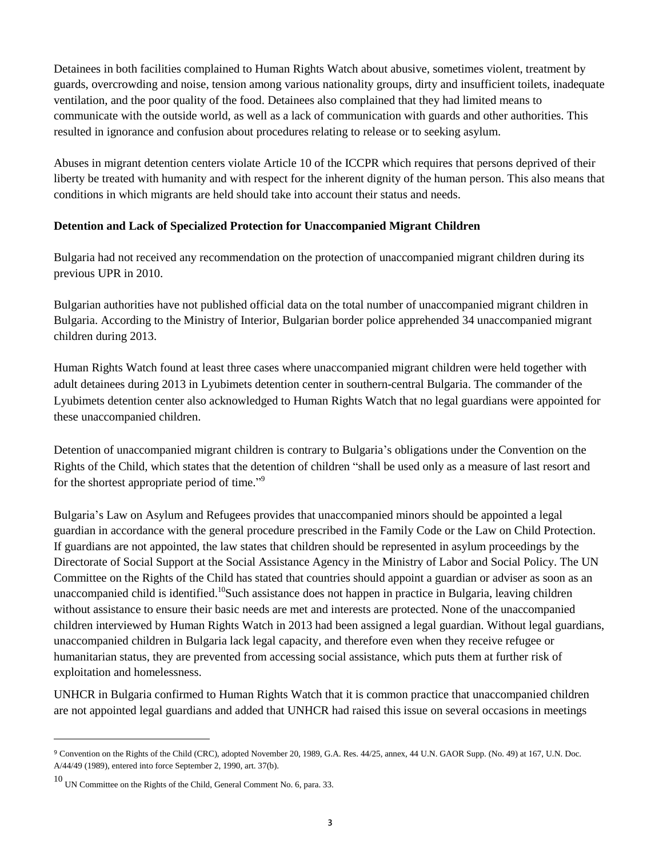Detainees in both facilities complained to Human Rights Watch about abusive, sometimes violent, treatment by guards, overcrowding and noise, tension among various nationality groups, dirty and insufficient toilets, inadequate ventilation, and the poor quality of the food. Detainees also complained that they had limited means to communicate with the outside world, as well as a lack of communication with guards and other authorities. This resulted in ignorance and confusion about procedures relating to release or to seeking asylum.

Abuses in migrant detention centers violate Article 10 of the ICCPR which requires that persons deprived of their liberty be treated with humanity and with respect for the inherent dignity of the human person. This also means that conditions in which migrants are held should take into account their status and needs.

## **Detention and Lack of Specialized Protection for Unaccompanied Migrant Children**

Bulgaria had not received any recommendation on the protection of unaccompanied migrant children during its previous UPR in 2010.

Bulgarian authorities have not published official data on the total number of unaccompanied migrant children in Bulgaria. According to the Ministry of Interior, Bulgarian border police apprehended 34 unaccompanied migrant children during 2013.

Human Rights Watch found at least three cases where unaccompanied migrant children were held together with adult detainees during 2013 in Lyubimets detention center in southern-central Bulgaria. The commander of the Lyubimets detention center also acknowledged to Human Rights Watch that no legal guardians were appointed for these unaccompanied children.

Detention of unaccompanied migrant children is contrary to Bulgaria's obligations under the Convention on the Rights of the Child, which states that the detention of children "shall be used only as a measure of last resort and for the shortest appropriate period of time."<sup>9</sup>

Bulgaria's Law on Asylum and Refugees provides that unaccompanied minors should be appointed a legal guardian in accordance with the general procedure prescribed in the Family Code or the Law on Child Protection. If guardians are not appointed, the law states that children should be represented in asylum proceedings by the Directorate of Social Support at the Social Assistance Agency in the Ministry of Labor and Social Policy. The UN Committee on the Rights of the Child has stated that countries should appoint a guardian or adviser as soon as an unaccompanied child is identified.<sup>10</sup>Such assistance does not happen in practice in Bulgaria, leaving children without assistance to ensure their basic needs are met and interests are protected. None of the unaccompanied children interviewed by Human Rights Watch in 2013 had been assigned a legal guardian. Without legal guardians, unaccompanied children in Bulgaria lack legal capacity, and therefore even when they receive refugee or humanitarian status, they are prevented from accessing social assistance, which puts them at further risk of exploitation and homelessness.

UNHCR in Bulgaria confirmed to Human Rights Watch that it is common practice that unaccompanied children are not appointed legal guardians and added that UNHCR had raised this issue on several occasions in meetings

 $\overline{a}$ 

<sup>9</sup> Convention on the Rights of the Child (CRC), adopted November 20, 1989, G.A. Res. 44/25, annex, 44 U.N. GAOR Supp. (No. 49) at 167, U.N. Doc. A/44/49 (1989), entered into force September 2, 1990, art. 37(b).

<sup>10</sup> UN Committee on the Rights of the Child, General Comment No. 6, para. 33.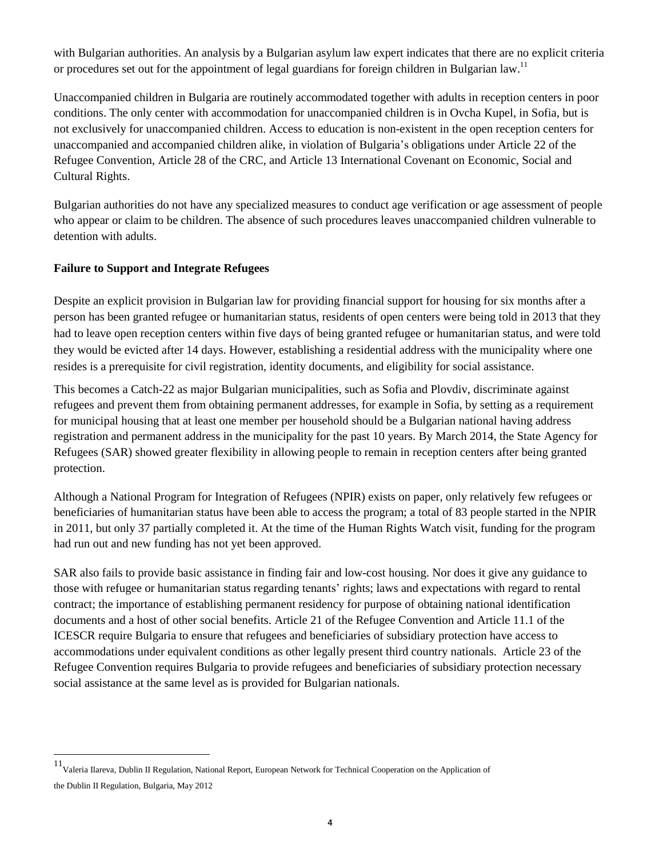with Bulgarian authorities. An analysis by a Bulgarian asylum law expert indicates that there are no explicit criteria or procedures set out for the appointment of legal guardians for foreign children in Bulgarian law.<sup>11</sup>

Unaccompanied children in Bulgaria are routinely accommodated together with adults in reception centers in poor conditions. The only center with accommodation for unaccompanied children is in Ovcha Kupel, in Sofia, but is not exclusively for unaccompanied children. Access to education is non-existent in the open reception centers for unaccompanied and accompanied children alike, in violation of Bulgaria's obligations under Article 22 of the Refugee Convention, Article 28 of the CRC, and Article 13 International Covenant on Economic, Social and Cultural Rights.

Bulgarian authorities do not have any specialized measures to conduct age verification or age assessment of people who appear or claim to be children. The absence of such procedures leaves unaccompanied children vulnerable to detention with adults.

## **Failure to Support and Integrate Refugees**

 $\overline{a}$ 

Despite an explicit provision in Bulgarian law for providing financial support for housing for six months after a person has been granted refugee or humanitarian status, residents of open centers were being told in 2013 that they had to leave open reception centers within five days of being granted refugee or humanitarian status, and were told they would be evicted after 14 days. However, establishing a residential address with the municipality where one resides is a prerequisite for civil registration, identity documents, and eligibility for social assistance.

This becomes a Catch-22 as major Bulgarian municipalities, such as Sofia and Plovdiv, discriminate against refugees and prevent them from obtaining permanent addresses, for example in Sofia, by setting as a requirement for municipal housing that at least one member per household should be a Bulgarian national having address registration and permanent address in the municipality for the past 10 years. By March 2014, the State Agency for Refugees (SAR) showed greater flexibility in allowing people to remain in reception centers after being granted protection.

Although a National Program for Integration of Refugees (NPIR) exists on paper, only relatively few refugees or beneficiaries of humanitarian status have been able to access the program; a total of 83 people started in the NPIR in 2011, but only 37 partially completed it. At the time of the Human Rights Watch visit, funding for the program had run out and new funding has not yet been approved.

SAR also fails to provide basic assistance in finding fair and low-cost housing. Nor does it give any guidance to those with refugee or humanitarian status regarding tenants' rights; laws and expectations with regard to rental contract; the importance of establishing permanent residency for purpose of obtaining national identification documents and a host of other social benefits. Article 21 of the Refugee Convention and Article 11.1 of the ICESCR require Bulgaria to ensure that refugees and beneficiaries of subsidiary protection have access to accommodations under equivalent conditions as other legally present third country nationals. Article 23 of the Refugee Convention requires Bulgaria to provide refugees and beneficiaries of subsidiary protection necessary social assistance at the same level as is provided for Bulgarian nationals.

<sup>11</sup> Valeria Ilareva, Dublin II Regulation, National Report, European Network for Technical Cooperation on the Application of the Dublin II Regulation, Bulgaria, May 2012